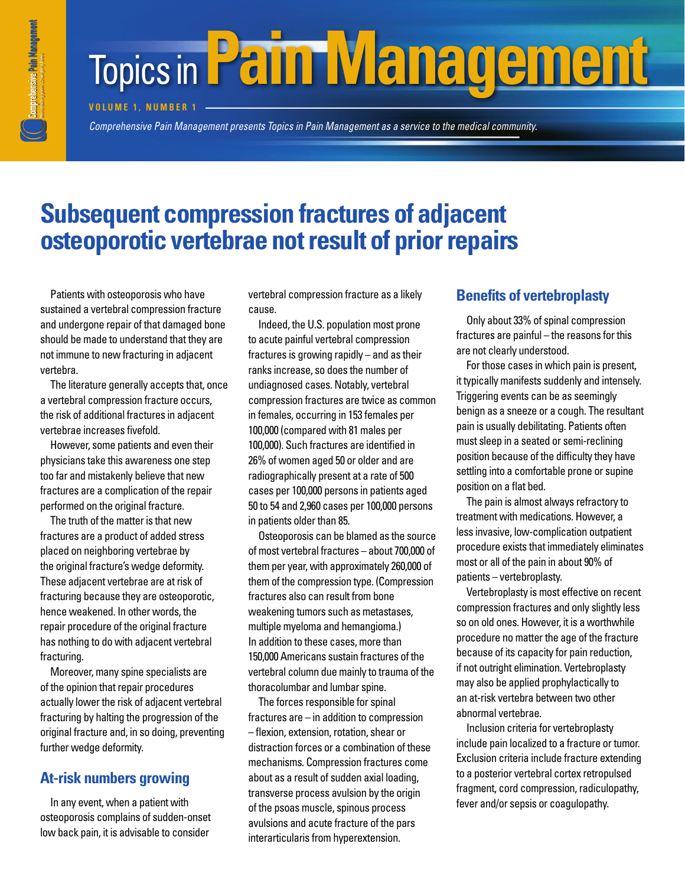# **Topics in Pain Management**

**VOLUME 1. NUMBER 1** 

*Comprehensive Pain Management presents Topics in Pain Management as a service to the medical community. Comprehensive Pain Management presents* 

## **Subsequent compression fractures of adjacent osteoporotic vertebrae not result of prior repairs**

Patients with osteoporosis who have sustained a vertebral compression fracture and undergone repair of that damaged bone should be made to understand that they are not immune to new fracturing in adjacent vertebra.

The literature generally accepts that, once a vertebral compression fracture occurs, the risk of additional fractures in adjacent vertebrae increases fivefold.

However, some patients and even their physicians take this awareness one step too far and mistakenly believe that new fractures are a complication of the repair performed on the original fracture.

The truth of the matter is that new fractures are a product of added stress placed on neighboring vertebrae by the original fracture's wedge deformity. These adjacent vertebrae are at risk of fracturing because they are osteoporotic, hence weakened. In other words, the repair procedure of the original fracture has nothing to do with adjacent vertebral fracturing.

Moreover, many spine specialists are of the opinion that repair procedures actually lower the risk of adjacent vertebral fracturing by halting the progression of the original fracture and, in so doing, preventing further wedge deformity.

### **At-risk numbers growing**

In any event, when a patient with osteoporosis complains of sudden-onset low back pain, it is advisable to consider

vertebral compression fracture as a likely cause.

Indeed, the U.S. population most prone to acute painful vertebral compression fractures is growing rapidly – and as their ranks increase, so does the number of undiagnosed cases. Notably, vertebral compression fractures are twice as common in females, occurring in 153 females per 100,000 (compared with 81 males per 100,000). Such fractures are identified in 26% of women aged 50 or older and are radiographically present at a rate of 500 cases per 100,000 persons in patients aged 50 to 54 and 2,960 cases per 100,000 persons in patients older than 85.

Osteoporosis can be blamed as the source of most vertebral fractures – about 700,000 of them per year, with approximately 260,000 of them of the compression type. (Compression fractures also can result from bone weakening tumors such as metastases, multiple myeloma and hemangioma.) In addition to these cases, more than 150,000 Americans sustain fractures of the vertebral column due mainly to trauma of the thoracolumbar and lumbar spine.

The forces responsible for spinal fractures are – in addition to compression – flexion, extension, rotation, shear or distraction forces or a combination of these mechanisms. Compression fractures come about as a result of sudden axial loading, transverse process avulsion by the origin of the psoas muscle, spinous process avulsions and acute fracture of the pars interarticularis from hyperextension.

#### **Benefits of vertebroplasty**

Only about 33% of spinal compression fractures are painful – the reasons for this are not clearly understood.

For those cases in which pain is present, it typically manifests suddenly and intensely. Triggering events can be as seemingly benign as a sneeze or a cough. The resultant pain is usually debilitating. Patients often must sleep in a seated or semi-reclining position because of the difficulty they have settling into a comfortable prone or supine position on a flat bed.

The pain is almost always refractory to treatment with medications. However, a less invasive, low-complication outpatient procedure exists that immediately eliminates most or all of the pain in about 90% of patients – vertebroplasty.

Vertebroplasty is most effective on recent compression fractures and only slightly less so on old ones. However, it is a worthwhile procedure no matter the age of the fracture because of its capacity for pain reduction, if not outright elimination. Vertebroplasty may also be applied prophylactically to an at-risk vertebra between two other abnormal vertebrae.

Inclusion criteria for vertebroplasty include pain localized to a fracture or tumor. Exclusion criteria include fracture extending to a posterior vertebral cortex retropulsed fragment, cord compression, radiculopathy, fever and/or sepsis or coagulopathy.